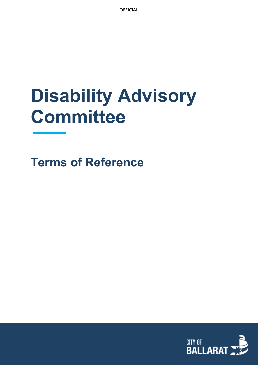**OFFICIAL** 

# **Disability Advisory Committee**

**Terms of Reference**

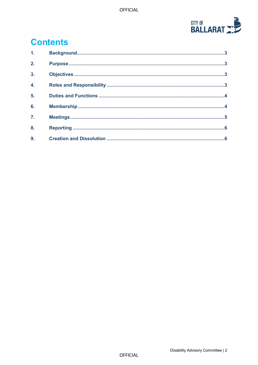

# **Contents**

| 1 <sub>1</sub>   |  |
|------------------|--|
| 2.               |  |
| $\overline{3}$ . |  |
| $\overline{4}$ . |  |
| 5.               |  |
| 6.               |  |
| $\overline{7}$ . |  |
| 8.               |  |
| 9.               |  |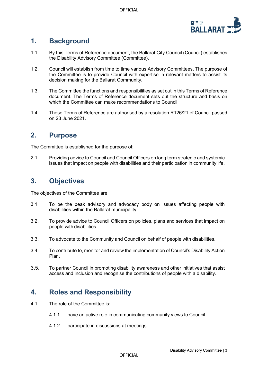

# <span id="page-2-0"></span>**1. Background**

- 1.1. By this Terms of Reference document, the Ballarat City Council (Council) establishes the Disability Advisory Committee (Committee).
- 1.2. Council will establish from time to time various Advisory Committees. The purpose of the Committee is to provide Council with expertise in relevant matters to assist its decision making for the Ballarat Community.
- 1.3. The Committee the functions and responsibilities as set out in this Terms of Reference document. The Terms of Reference document sets out the structure and basis on which the Committee can make recommendations to Council.
- 1.4. These Terms of Reference are authorised by a resolution R126/21 of Council passed on 23 June 2021.

## <span id="page-2-1"></span>**2. Purpose**

The Committee is established for the purpose of:

2.1 Providing advice to Council and Council Officers on long term strategic and systemic issues that impact on people with disabilities and their participation in community life.

# <span id="page-2-2"></span>**3. Objectives**

The objectives of the Committee are:

- 3.1 To be the peak advisory and advocacy body on issues affecting people with disabilities within the Ballarat municipality.
- 3.2. To provide advice to Council Officers on policies, plans and services that impact on people with disabilities.
- 3.3. To advocate to the Community and Council on behalf of people with disabilities.
- <span id="page-2-3"></span>3.4. To contribute to, monitor and review the implementation of Council's Disability Action Plan.
- 3.5. To partner Council in promoting disability awareness and other initiatives that assist access and inclusion and recognise the contributions of people with a disability.

# **4. Roles and Responsibility**

- 4.1. The role of the Committee is:
	- 4.1.1. have an active role in communicating community views to Council.
	- 4.1.2. participate in discussions at meetings.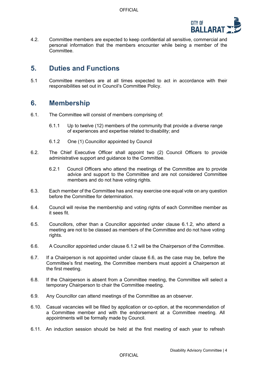

4.2. Committee members are expected to keep confidential all sensitive, commercial and personal information that the members encounter while being a member of the Committee.

#### <span id="page-3-0"></span>**5. Duties and Functions**

5.1 Committee members are at all times expected to act in accordance with their responsibilities set out in Council's Committee Policy.

#### <span id="page-3-1"></span>**6. Membership**

- 6.1. The Committee will consist of members comprising of:
	- 6.1.1 Up to twelve (12) members of the community that provide a diverse range of experiences and expertise related to disability; and
	- 6.1.2 One (1) Councillor appointed by Council
- 6.2. The Chief Executive Officer shall appoint two (2) Council Officers to provide administrative support and guidance to the Committee.
	- 6.2.1 Council Officers who attend the meetings of the Committee are to provide advice and support to the Committee and are not considered Committee members and do not have voting rights.
- 6.3. Each member of the Committee has and may exercise one equal vote on any question before the Committee for determination.
- 6.4. Council will revise the membership and voting rights of each Committee member as it sees fit.
- 6.5. Councillors, other than a Councillor appointed under clause 6.1.2, who attend a meeting are not to be classed as members of the Committee and do not have voting rights.
- 6.6. A Councillor appointed under clause 6.1.2 will be the Chairperson of the Committee.
- 6.7. If a Chairperson is not appointed under clause 6.6, as the case may be, before the Committee's first meeting, the Committee members must appoint a Chairperson at the first meeting.
- 6.8. If the Chairperson is absent from a Committee meeting, the Committee will select a temporary Chairperson to chair the Committee meeting.
- 6.9. Any Councillor can attend meetings of the Committee as an observer.
- 6.10. Casual vacancies will be filled by application or co-option, at the recommendation of a Committee member and with the endorsement at a Committee meeting. All appointments will be formally made by Council.
- 6.11. An induction session should be held at the first meeting of each year to refresh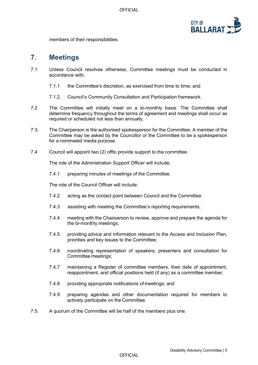

members of their responsibilities.

#### <span id="page-4-0"></span>**7. Meetings**

- 7.1 Unless Council resolves otherwise, Committee meetings must be conducted in accordance with:
	- 7.1.1 the Committee's discretion, as exercised from time to time; and
	- 7.1.2. Council's Community Consultation and Participation framework.
- 7.2 The Committee will initially meet on a bi-monthly basis. The Committee shall determine frequency throughout the terms of agreement and meetings shall occur as required or scheduled not less than annually.
- 7.3. The Chairperson is the authorised spokesperson for the Committee. A member of the Committee may be asked by the Councillor or the Committee to be a spokesperson for a nominated media purpose.
- 7.4 Council will appoint two (2) offto provide support to the committee.

The role of the Administration Support Officer will include;

7.4.1 preparing minutes of meetings of the Committee.

The role of the Council Officer will include:

- 7.4.2 acting as the contact point between Council and the Committee;
- 7.4.3 assisting with meeting the Committee's reporting requirements;
- 7.4.4 meeting with the Chairperson to review, approve and prepare the agenda for the bi-monthly meetings;
- 7.4.5 providing advice and information relevant to the Access and Inclusion Plan, priorities and key issues to the Committee;
- 7.4.6 coordinating representation of speakers, presenters and consultation for Committee meetings;
- 7.4.7 maintaining a Register of committee members, their date of appointment, reappointment, and official positions held (if any) as a committee member;
- 7.4.8 providing appropriate notifications of meetings; and
- 7.4.9 preparing agendas and other documentation required for members to actively participate on the Committee.
- 7.5. A quorum of the Committee will be half of the members plus one.